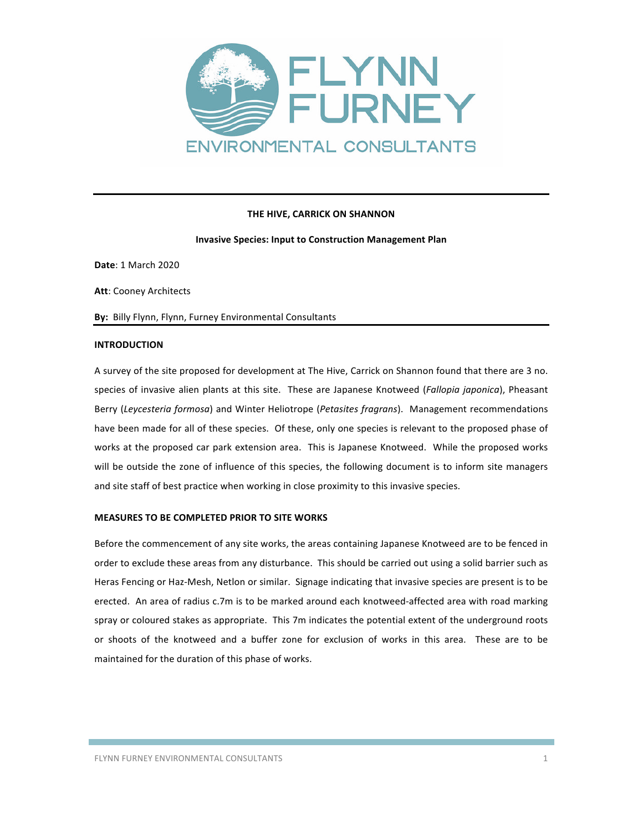

## **THE HIVE, CARRICK ON SHANNON**

#### **Invasive Species: Input to Construction Management Plan**

**Date**: 1 March 2020

**Att: Cooney Architects** 

By: Billy Flynn, Flynn, Furney Environmental Consultants

## **INTRODUCTION**

A survey of the site proposed for development at The Hive, Carrick on Shannon found that there are 3 no. species of invasive alien plants at this site. These are Japanese Knotweed (*Fallopia japonica*), Pheasant Berry (Leycesteria formosa) and Winter Heliotrope (Petasites fragrans). Management recommendations have been made for all of these species. Of these, only one species is relevant to the proposed phase of works at the proposed car park extension area. This is Japanese Knotweed. While the proposed works will be outside the zone of influence of this species, the following document is to inform site managers and site staff of best practice when working in close proximity to this invasive species.

#### **MEASURES TO BE COMPLETED PRIOR TO SITE WORKS**

Before the commencement of any site works, the areas containing Japanese Knotweed are to be fenced in order to exclude these areas from any disturbance. This should be carried out using a solid barrier such as Heras Fencing or Haz-Mesh, Netlon or similar. Signage indicating that invasive species are present is to be erected. An area of radius c.7m is to be marked around each knotweed-affected area with road marking spray or coloured stakes as appropriate. This 7m indicates the potential extent of the underground roots or shoots of the knotweed and a buffer zone for exclusion of works in this area. These are to be maintained for the duration of this phase of works.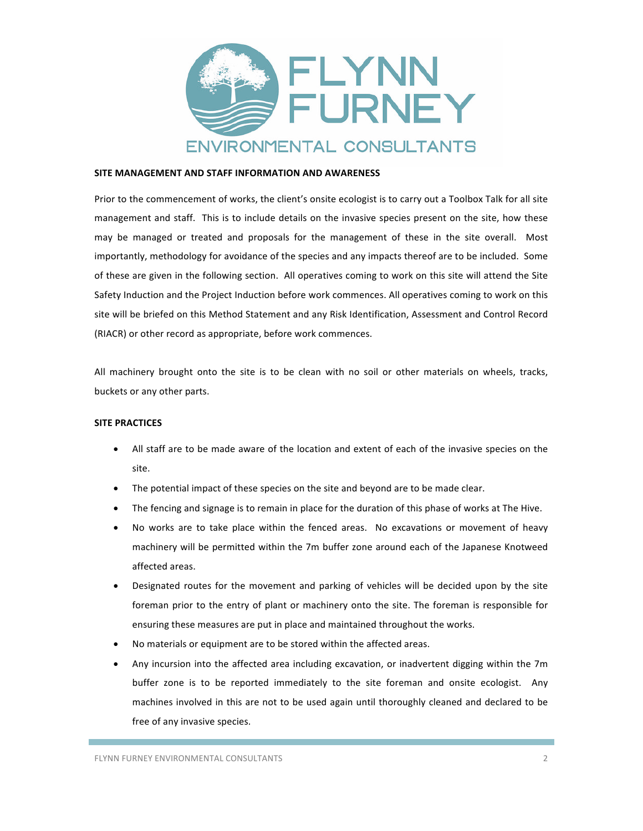

## **SITE MANAGEMENT AND STAFF INFORMATION AND AWARENESS**

Prior to the commencement of works, the client's onsite ecologist is to carry out a Toolbox Talk for all site management and staff. This is to include details on the invasive species present on the site, how these may be managed or treated and proposals for the management of these in the site overall. Most importantly, methodology for avoidance of the species and any impacts thereof are to be included. Some of these are given in the following section. All operatives coming to work on this site will attend the Site Safety Induction and the Project Induction before work commences. All operatives coming to work on this site will be briefed on this Method Statement and any Risk Identification, Assessment and Control Record (RIACR) or other record as appropriate, before work commences.

All machinery brought onto the site is to be clean with no soil or other materials on wheels, tracks, buckets or any other parts.

## **SITE PRACTICES**

- All staff are to be made aware of the location and extent of each of the invasive species on the site.
- The potential impact of these species on the site and beyond are to be made clear.
- The fencing and signage is to remain in place for the duration of this phase of works at The Hive.
- No works are to take place within the fenced areas. No excavations or movement of heavy machinery will be permitted within the 7m buffer zone around each of the Japanese Knotweed affected areas.
- Designated routes for the movement and parking of vehicles will be decided upon by the site foreman prior to the entry of plant or machinery onto the site. The foreman is responsible for ensuring these measures are put in place and maintained throughout the works.
- No materials or equipment are to be stored within the affected areas.
- Any incursion into the affected area including excavation, or inadvertent digging within the 7m buffer zone is to be reported immediately to the site foreman and onsite ecologist. Any machines involved in this are not to be used again until thoroughly cleaned and declared to be free of any invasive species.